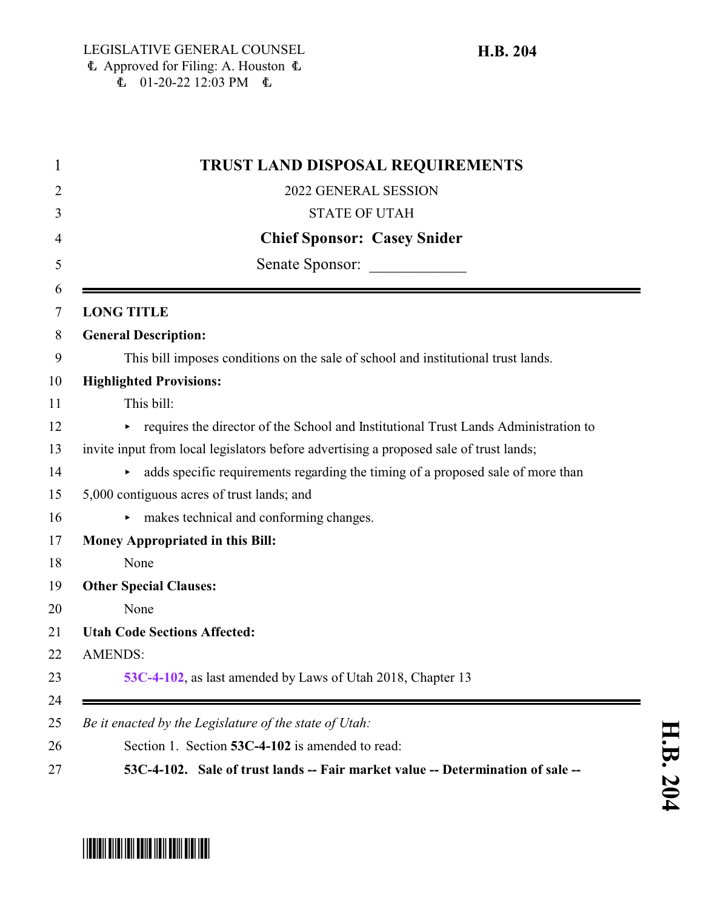|                   | TRUST LAND DISPOSAL REQUIREMENTS                                                       |
|-------------------|----------------------------------------------------------------------------------------|
|                   | 2022 GENERAL SESSION                                                                   |
|                   | <b>STATE OF UTAH</b>                                                                   |
|                   | <b>Chief Sponsor: Casey Snider</b>                                                     |
|                   | Senate Sponsor:                                                                        |
| <b>LONG TITLE</b> |                                                                                        |
|                   | <b>General Description:</b>                                                            |
|                   | This bill imposes conditions on the sale of school and institutional trust lands.      |
|                   | <b>Highlighted Provisions:</b>                                                         |
|                   | This bill:                                                                             |
| Þ.                | requires the director of the School and Institutional Trust Lands Administration to    |
|                   | invite input from local legislators before advertising a proposed sale of trust lands; |
|                   | adds specific requirements regarding the timing of a proposed sale of more than        |
|                   | 5,000 contiguous acres of trust lands; and                                             |
|                   | makes technical and conforming changes.                                                |
|                   | <b>Money Appropriated in this Bill:</b>                                                |
|                   | None                                                                                   |
|                   | <b>Other Special Clauses:</b>                                                          |
|                   | None                                                                                   |
|                   | <b>Utah Code Sections Affected:</b>                                                    |
| <b>AMENDS:</b>    |                                                                                        |
|                   | 53C-4-102, as last amended by Laws of Utah 2018, Chapter 13                            |
|                   | Be it enacted by the Legislature of the state of Utah:                                 |
|                   | Section 1. Section 53C-4-102 is amended to read:                                       |
|                   | 53C-4-102. Sale of trust lands -- Fair market value -- Determination of sale --        |

## <span id="page-0-0"></span>\*HB0204\*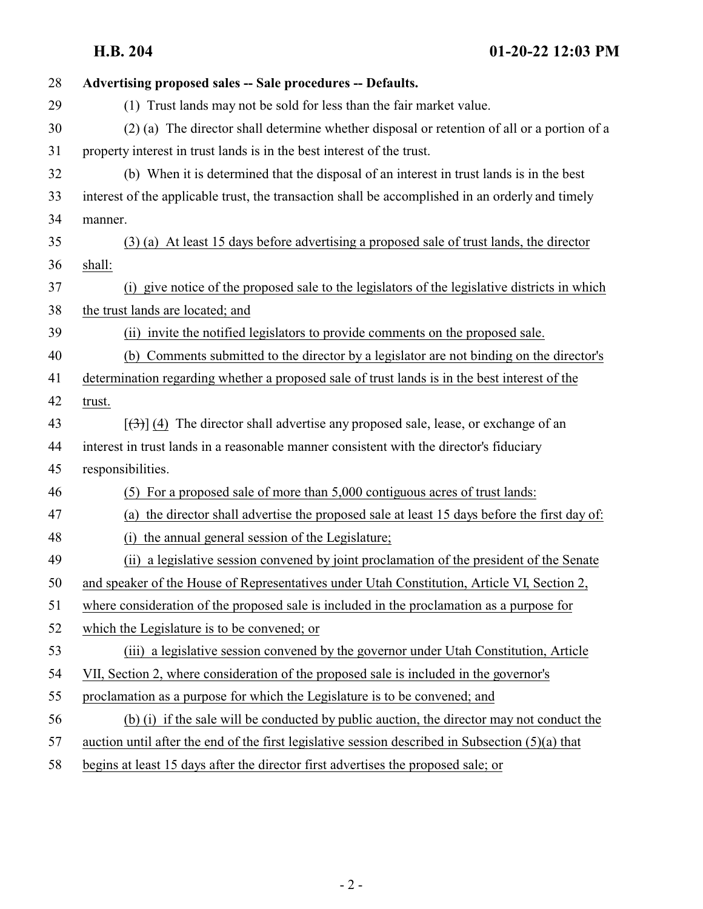| 28 | Advertising proposed sales -- Sale procedures -- Defaults.                                         |
|----|----------------------------------------------------------------------------------------------------|
| 29 | (1) Trust lands may not be sold for less than the fair market value.                               |
| 30 | (2) (a) The director shall determine whether disposal or retention of all or a portion of a        |
| 31 | property interest in trust lands is in the best interest of the trust.                             |
| 32 | (b) When it is determined that the disposal of an interest in trust lands is in the best           |
| 33 | interest of the applicable trust, the transaction shall be accomplished in an orderly and timely   |
| 34 | manner.                                                                                            |
| 35 | (3) (a) At least 15 days before advertising a proposed sale of trust lands, the director           |
| 36 | shall:                                                                                             |
| 37 | (i) give notice of the proposed sale to the legislators of the legislative districts in which      |
| 38 | the trust lands are located; and                                                                   |
| 39 | (ii) invite the notified legislators to provide comments on the proposed sale.                     |
| 40 | (b) Comments submitted to the director by a legislator are not binding on the director's           |
| 41 | determination regarding whether a proposed sale of trust lands is in the best interest of the      |
| 42 | trust.                                                                                             |
| 43 | $[\langle 3\rangle]$ (4) The director shall advertise any proposed sale, lease, or exchange of an  |
| 44 | interest in trust lands in a reasonable manner consistent with the director's fiduciary            |
| 45 | responsibilities.                                                                                  |
| 46 | For a proposed sale of more than 5,000 contiguous acres of trust lands:<br>(5)                     |
| 47 | the director shall advertise the proposed sale at least 15 days before the first day of:<br>(a)    |
| 48 | the annual general session of the Legislature;<br>(i)                                              |
| 49 | a legislative session convened by joint proclamation of the president of the Senate<br>(ii)        |
| 50 | and speaker of the House of Representatives under Utah Constitution, Article VI, Section 2,        |
| 51 | where consideration of the proposed sale is included in the proclamation as a purpose for          |
| 52 | which the Legislature is to be convened; or                                                        |
| 53 | (iii) a legislative session convened by the governor under Utah Constitution, Article              |
| 54 | VII, Section 2, where consideration of the proposed sale is included in the governor's             |
| 55 | proclamation as a purpose for which the Legislature is to be convened; and                         |
| 56 | (b) (i) if the sale will be conducted by public auction, the director may not conduct the          |
| 57 | auction until after the end of the first legislative session described in Subsection $(5)(a)$ that |
| 58 | begins at least 15 days after the director first advertises the proposed sale; or                  |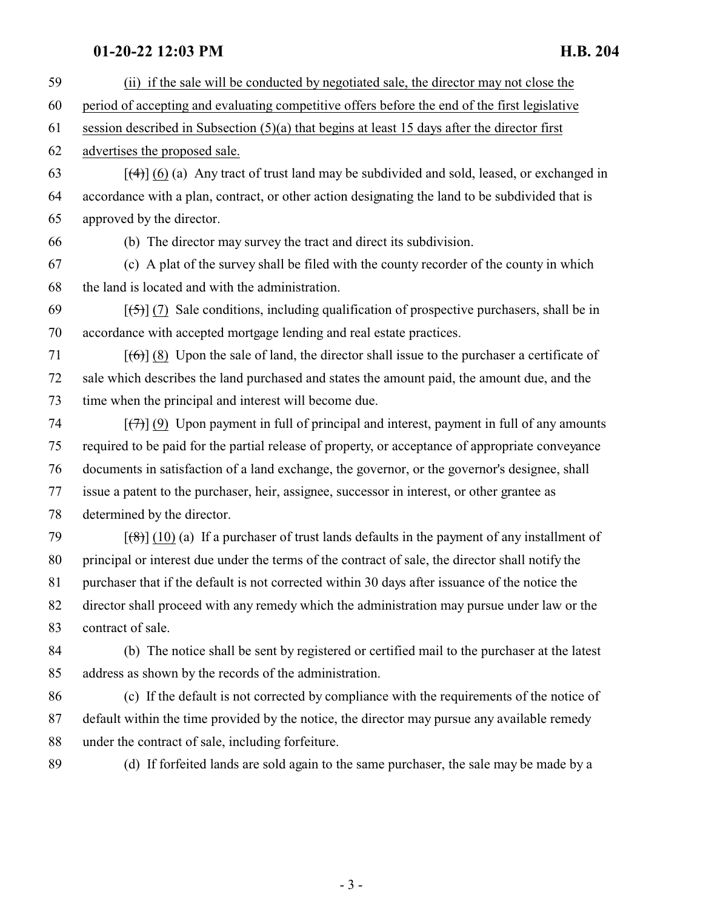## **01-20-22 12:03 PM H.B. 204**

 (ii) if the sale will be conducted by negotiated sale, the director may not close the period of accepting and evaluating competitive offers before the end of the first legislative session described in Subsection (5)(a) that begins at least 15 days after the director first advertises the proposed sale.  $[4]$  (6) (a) Any tract of trust land may be subdivided and sold, leased, or exchanged in accordance with a plan, contract, or other action designating the land to be subdivided that is approved by the director. (b) The director may survey the tract and direct its subdivision. (c) A plat of the survey shall be filed with the county recorder of the county in which the land is located and with the administration.  $[69]$  [(5)] (7) Sale conditions, including qualification of prospective purchasers, shall be in accordance with accepted mortgage lending and real estate practices.  $[66]$  (8) Upon the sale of land, the director shall issue to the purchaser a certificate of sale which describes the land purchased and states the amount paid, the amount due, and the time when the principal and interest will become due.  $\lceil$ (9) Upon payment in full of principal and interest, payment in full of any amounts required to be paid for the partial release of property, or acceptance of appropriate conveyance documents in satisfaction of a land exchange, the governor, or the governor's designee, shall issue a patent to the purchaser, heir, assignee, successor in interest, or other grantee as determined by the director.  $[(8)] (10) (a)$  If a purchaser of trust lands defaults in the payment of any installment of principal or interest due under the terms of the contract of sale, the director shall notify the purchaser that if the default is not corrected within 30 days after issuance of the notice the director shall proceed with any remedy which the administration may pursue under law or the contract of sale. (b) The notice shall be sent by registered or certified mail to the purchaser at the latest address as shown by the records of the administration. (c) If the default is not corrected by compliance with the requirements of the notice of default within the time provided by the notice, the director may pursue any available remedy under the contract of sale, including forfeiture.

(d) If forfeited lands are sold again to the same purchaser, the sale may be made by a